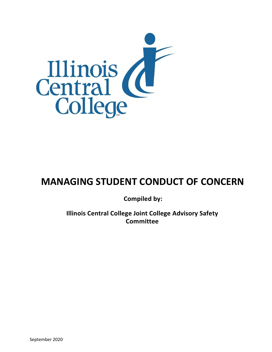

# **MANAGING STUDENT CONDUCT OF CONCERN**

**Compiled by:** 

**Illinois Central College Joint College Advisory Safety Committee**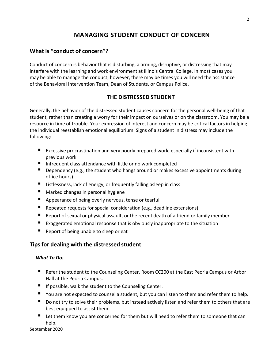# **MANAGING STUDENT CONDUCT OF CONCERN**

# **What is "conduct of concern"?**

Conduct of concern is behavior that is disturbing, alarming, disruptive, or distressing that may interfere with the learning and work environment at Illinois Central College. In most cases you may be able to manage the conduct; however, there may be times you will need the assistance of the Behavioral Intervention Team, Dean of Students, or Campus Police.

### **THE DISTRESSED STUDENT**

Generally, the behavior of the distressed student causes concern for the personal well-being of that student, rather than creating a worry for their impact on ourselves or on the classroom. You may be a resource in time of trouble. Your expression of interest and concern may be critical factors in helping the individual reestablish emotional equilibrium. Signs of a student in distress may include the following:

- Excessive procrastination and very poorly prepared work, especially if inconsistent with previous work
- **Infrequent class attendance with little or no work completed**
- Dependency (e.g., the student who hangs around or makes excessive appointments during office hours)
- Listlessness, lack of energy, or frequently falling asleep in class
- Marked changes in personal hygiene
- **Appearance of being overly nervous, tense or tearful**
- Repeated requests for special consideration (e.g., deadline extensions)
- Report of sexual or physical assault, or the recent death of a friend or family member
- **EXaggerated emotional response that is obviously inappropriate to the situation**
- Report of being unable to sleep or eat

## **Tips for dealing with the distressed student**

### *What To Do:*

- Refer the student to the Counseling Center, Room CC200 at the East Peoria Campus or Arbor Hall at the Peoria Campus.
- $\blacksquare$  If possible, walk the student to the Counseling Center.
- You are not expected to counsel a student, but you can listen to them and refer them to help.
- Do not try to solve their problems, but instead actively listen and refer them to others that are best equipped to assist them.
- Let them know you are concerned for them but will need to refer them to someone that can help.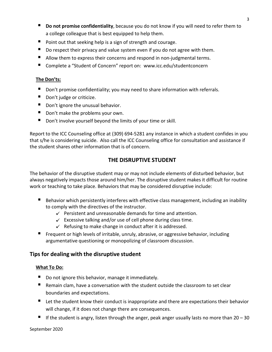- **Do not promise confidentiality**, because you do not know if you will need to refer them to a college colleague that is best equipped to help them.
- $\blacksquare$  Point out that seeking help is a sign of strength and courage.
- Do respect their privacy and value system even if you do not agree with them.
- Allow them to express their concerns and respond in non-judgmental terms.
- Complete a "Student of Concern" report on: [www.icc.edu/studentconcern](http://www.icc.edu/studentconcern)

#### **The Don'ts:**

- Don't promise confidentiality; you may need to share information with referrals.
- Don't judge or criticize.
- Don't ignore the unusual behavior.
- Don't make the problems your own.
- Don't involve yourself beyond the limits of your time or skill.

Report to the ICC Counseling office at (309) 694-5281 any instance in which a student confides in you that s/he is considering suicide. Also call the ICC Counseling office for consultation and assistance if the student shares other information that is of concern.

## **THE DISRUPTIVE STUDENT**

The behavior of the disruptive student may or may not include elements of disturbed behavior, but always negatively impacts those around him/her. The disruptive student makes it difficult for routine work or teaching to take place. Behaviors that may be considered disruptive include:

- Behavior which persistently interferes with effective class management, including an inability to comply with the directives of the instructor.
	- $\checkmark$  Persistent and unreasonable demands for time and attention.
	- $\checkmark$  Excessive talking and/or use of cell phone during class time.
	- $\checkmark$  Refusing to make change in conduct after it is addressed.
- Frequent or high levels of irritable, unruly, abrasive, or aggressive behavior, including argumentative questioning or monopolizing of classroom discussion.

### **Tips for dealing with the disruptive student**

### **What To Do:**

- Do not ignore this behavior, manage it immediately.
- Remain clam, have a conversation with the student outside the classroom to set clear boundaries and expectations.
- Let the student know their conduct is inappropriate and there are expectations their behavior will change, if it does not change there are consequences.
- If the student is angry, listen through the anger, peak anger usually lasts no more than 20 30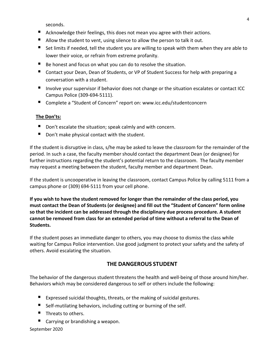seconds.

- Acknowledge their feelings, this does not mean you agree with their actions.
- Allow the student to vent, using silence to allow the person to talk it out.
- Set limits if needed, tell the student you are willing to speak with them when they are able to lower their voice, or refrain from extreme profanity.
- Be honest and focus on what you can do to resolve the situation.
- Contact your Dean, Dean of Students, or VP of Student Success for help with preparing a conversation with a student.
- Involve your supervisor if behavior does not change or the situation escalates or contact ICC Campus Police (309-694-5111).
- Complete a "Student of Concern" report on[: www.icc.edu/studentconcern](http://www.icc.edu/studentconcern)

### **The Don'ts:**

- Don't escalate the situation; speak calmly and with concern.
- Don't make physical contact with the student.

If the student is disruptive in class, s/he may be asked to leave the classroom for the remainder of the period. In such a case, the faculty member should contact the department Dean (or designee) for further instructions regarding the student's potential return to the classroom. The faculty member may request a meeting between the student, faculty member and department Dean.

If the student is uncooperative in leaving the classroom, contact Campus Police by calling 5111 from a campus phone or (309) 694-5111 from your cell phone.

**If you wish to have the student removed for longer than the remainder of the class period, you must contact the Dean of Students (or designee) and fill out the "Student of Concern" form online so that the incident can be addressed through the disciplinary due process procedure. A student cannot be removed from class for an extended period of time without a referral to the Dean of Students.**

If the student poses an immediate danger to others, you may choose to dismiss the class while waiting for Campus Police intervention. Use good judgment to protect your safety and the safety of others. Avoid escalating the situation.

### **THE DANGEROUS STUDENT**

The behavior of the dangerous student threatens the health and well-being of those around him/her. Behaviors which may be considered dangerous to self or others include the following:

- Expressed suicidal thoughts, threats, or the making of suicidal gestures.
- Self-mutilating behaviors, including cutting or burning of the self.
- $\blacksquare$  Threats to others.
- Carrying or brandishing a weapon.

September 2020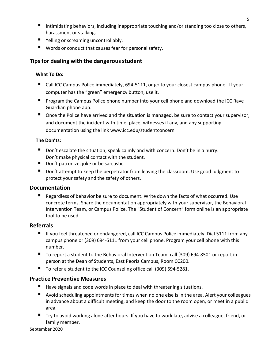- Intimidating behaviors, including inappropriate touching and/or standing too close to others, harassment or stalking.
- Yelling or screaming uncontrollably.
- Words or conduct that causes fear for personal safety.

# **Tips for dealing with the dangerousstudent**

### **What To Do:**

- Call ICC Campus Police immediately, 694-5111, or go to your closest campus phone. If your computer has the "green" emergency button, use it.
- **Program the Campus Police phone number into your cell phone and download the ICC Rave** Guardian phone app.
- Once the Police have arrived and the situation is managed, be sure to contact your supervisor, and document the incident with time, place, witnesses if any, and any supporting documentation using the link [www.icc.edu/studentconcern](http://www.icc.edu/studentconcern)

### **The Don'ts:**

- Don't escalate the situation; speak calmly and with concern. Don't be in a hurry. Don't make physical contact with the student.
- Don't patronize, joke or be sarcastic.
- Don't attempt to keep the perpetrator from leaving the classroom. Use good judgment to protect your safety and the safety of others.

## **Documentation**

Regardless of behavior be sure to document. Write down the facts of what occurred. Use concrete terms. Share the documentation appropriately with your supervisor, the Behavioral Intervention Team, or Campus Police. The "Student of Concern" form online is an appropriate tool to be used.

## **Referrals**

- If you feel threatened or endangered, call ICC Campus Police immediately. Dial 5111 from any campus phone or (309) 694-5111 from your cell phone. Program your cell phone with this number.
- To report a student to the Behavioral Intervention Team, call (309) 694-8501 or report in person at the Dean of Students, East Peoria Campus, Room CC200.
- To refer a student to the ICC Counseling office call (309) 694-5281.

## **Practice Preventive Measures**

- Have signals and code words in place to deal with threatening situations.
- Avoid scheduling appointments for times when no one else is in the area. Alert your colleagues in advance about a difficult meeting, and keep the door to the room open, or meet in a public area.
- Try to avoid working alone after hours. If you have to work late, advise a colleague, friend, or family member.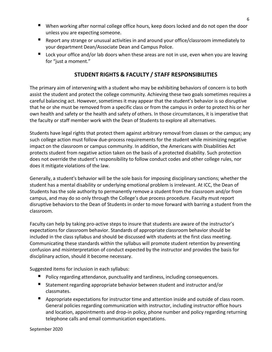- When working after normal college office hours, keep doors locked and do not open the door unless you are expecting someone.
- **E** Report any strange or unusual activities in and around your office/classroom immediately to your department Dean/Associate Dean and Campus Police.
- Lock your office and/or lab doors when these areas are not in use, even when you are leaving for "just a moment."

# **STUDENT RIGHTS & FACULTY / STAFF RESPONSIBILITIES**

The primary aim of intervening with a student who may be exhibiting behaviors of concern is to both assist the student and protect the college community. Achieving these two goals sometimes requires a careful balancing act. However, sometimes it may appear that the student's behavior is so disruptive that he or she must be removed from a specific class or from the campus in order to protect his or her own health and safety or the health and safety of others. In those circumstances, it is imperative that the faculty or staff member work with the Dean of Students to explore all alternatives.

Students have legal rights that protect them against arbitrary removal from classes or the campus; any such college action must follow due-process requirements for the student while minimizing negative impact on the classroom or campus community. In addition, the Americans with Disabilities Act protects student from negative action taken on the basis of a protected disability. Such protection does not override the student's responsibility to follow conduct codes and other college rules, nor does it mitigate violations of the law.

Generally, a student's behavior will be the sole basis for imposing disciplinary sanctions; whether the student has a mental disability or underlying emotional problem is irrelevant. At ICC, the Dean of Students has the sole authority to permanently remove a student from the classroom and/or from campus, and may do so only through the College's due process procedure. Faculty must report disruptive behaviors to the Dean of Students in order to move forward with barring a student from the classroom.

Faculty can help by taking pro-active steps to insure that students are aware of the instructor's expectations for classroom behavior. Standards of appropriate classroom behavior should be included in the class syllabus and should be discussed with students at the first class meeting. Communicating these standards within the syllabus will promote student retention by preventing confusion and misinterpretation of conduct expected by the instructor and provides the basis for disciplinary action, should it become necessary.

Suggested items for inclusion in each syllabus:

- Policy regarding attendance, punctuality and tardiness, including consequences.
- Statement regarding appropriate behavior between student and instructor and/or classmates.
- **Appropriate expectations for instructor time and attention inside and outside of class room.** General policies regarding communication with instructor, including instructor office hours and location, appointments and drop-in policy, phone number and policy regarding returning telephone calls and email communication expectations.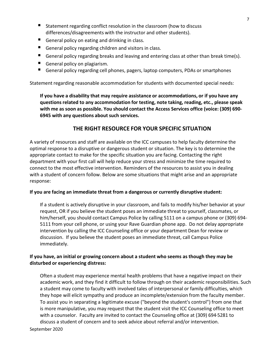- Statement regarding conflict resolution in the classroom (how to discuss differences/disagreements with the instructor and other students).
- General policy on eating and drinking in class.
- General policy regarding children and visitors in class.
- General policy regarding breaks and leaving and entering class at other than break time(s).
- General policy on plagiarism.
- General policy regarding cell phones, pagers, laptop computers, PDAs or smartphones

Statement regarding reasonable accommodation for students with documented special needs:

**If you have a disability that may require assistance or accommodations, or if you have any questionsrelated to any accommodation for testing, note taking, reading, etc., please speak with me as soon as possible. You should contact the Access Services office (voice: (309) 690- 6945 with any questions about such services.**

### **THE RIGHT RESOURCE FOR YOUR SPECIFIC SITUATION**

A variety of resources and staff are available on the ICC campuses to help faculty determine the optimal response to a disruptive or dangerous student or situation. The key is to determine the appropriate contact to make for the specific situation you are facing. Contacting the right department with your first call will help reduce your stress and minimize the time required to connect to the most effective intervention. Reminders of the resources to assist you in dealing with a student of concern follow. Below are some situations that might arise and an appropriate response:

### **If you are facing an immediate threat from a dangerous or currently disruptive student:**

If a student is actively disruptive in your classroom, and fails to modify his/her behavior at your request, OR if you believe the student poses an immediate threat to yourself, classmates, or him/herself, you should contact Campus Police by calling 5111 on a campus phone or (309) 694-5111 from your cell phone, or using your Rave Guardian phone app. Do not delay appropriate intervention by calling the ICC Counseling office or your department Dean for review or discussion. If you believe the student poses an immediate threat, call Campus Police immediately.

### **If you have, an initial or growing concern about a student who seems as though they may be disturbed or experiencing distress:**

Often a student may experience mental health problems that have a negative impact on their academic work, and they find it difficult to follow through on their academic responsibilities. Such a student may come to faculty with involved tales of interpersonal or family difficulties, which they hope will elicit sympathy and produce an incomplete/extension from the faculty member. To assist you in separating a legitimate excuse ("beyond the student's control") from one that is more manipulative, you may request that the student visit the ICC Counseling office to meet with a counselor. Faculty are invited to contact the Counseling office at (309) 694-5281 to discuss a student of concern and to seek advice about referral and/or intervention.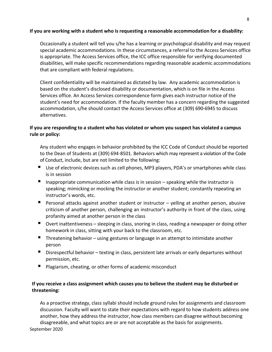#### **If you are working with a student who is requesting a reasonable accommodation for a disability:**

Occasionally a student will tell you s/he has a learning or psychological disability and may request special academic accommodations. In these circumstances, a referral to the Access Services office is appropriate. The Access Services office, the ICC office responsible for verifying documented disabilities, will make specific recommendations regarding reasonable academic accommodations that are compliant with federal regulations.

Client confidentiality will be maintained as dictated by law. Any academic accommodation is based on the student's disclosed disability or documentation, which is on file in the Access Services office. An Access Services correspondence form gives each instructor notice of the student's need for accommodation. If the faculty member has a concern regarding the suggested accommodation,s/he should contact the Access Services office at (309) 690-6945 to discuss alternatives.

### **If you are responding to a student who has violated or whom you suspect has violated a campus rule or policy:**

Any student who engages in behavior prohibited by the ICC Code of Conduct should be reported to the Dean of Students at (309) 694-8501. Behaviors which may represent a violation of the Code of Conduct, include, but are not limited to the following:

- Use of electronic devices such as cell phones, MP3 players, PDA's or smartphones while class is in session
- Inappropriate communication while class is in session  $-$  speaking while the instructor is speaking; mimicking or mocking the instructor or another student; constantly repeating an instructor's words, etc.
- **Personal attacks against another student or instructor yelling at another person, abusive** criticism of another person, challenging an instructor's authority in front of the class, using profanity aimed at another person in the class
- Overt inattentiveness sleeping in class, snoring in class, reading a newspaper or doing other homework in class, sitting with your back to the classroom, etc.
- Threatening behavior using gestures or language in an attempt to intimidate another person
- Disrespectful behavior texting in class, persistent late arrivals or early departures without permission, etc.
- Plagiarism, cheating, or other forms of academic misconduct

### **If you receive a class assignment which causes you to believe the student may be disturbed or threatening:**

As a proactive strategy, class syllabi should include ground rules for assignments and classroom discussion. Faculty will want to state their expectations with regard to how students address one another, how they address the instructor, how class members can disagree without becoming disagreeable, and what topics are or are not acceptable as the basis for assignments.

September 2020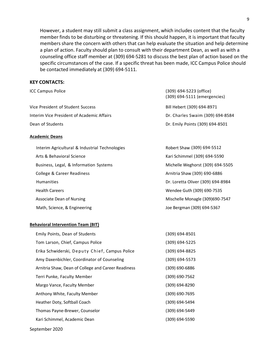However, a student may still submit a class assignment, which includes content that the faculty member finds to be disturbing or threatening. If this should happen, it is important that faculty members share the concern with others that can help evaluate the situation and help determine a plan of action. Faculty should plan to consult with their department Dean, as well as with a counseling office staff member at (309) 694-5281 to discuss the best plan of action based on the specific circumstances of the case. If a specific threat has been made, ICC Campus Police should be contacted immediately at (309) 694-5111.

#### **KEY CONTACTS:**

| <b>ICC Campus Police</b>                       | (309) 694–5223 (office)<br>(309) 694-5111 (emergencies) |
|------------------------------------------------|---------------------------------------------------------|
| Vice President of Student Success              | Bill Hebert (309) 694-8971                              |
| Interim Vice President of Academic Affairs     | Dr. Charles Swaim (309) 694-8584                        |
| Dean of Students                               | Dr. Emily Points (309) 694-8501                         |
| <b>Academic Deans</b>                          |                                                         |
| Interim Agricultural & Industrial Technologies | Robert Shaw (309) 694-5512                              |
| Arts & Behavioral Science                      | Kari Schimmel (309) 694-5590                            |
| Business, Legal, & Information Systems         | Michelle Weghorst (309) 694-5505                        |
| College & Career Readiness                     | Arnitria Shaw (309) 690-6886                            |
| <b>Humanities</b>                              | Dr. Loretta Oliver (309) 694-8984                       |
| <b>Health Careers</b>                          | Wendee Guth (309) 690-7535                              |
| <b>Associate Dean of Nursing</b>               | Mischelle Monagle (309)690-7547                         |
| Math, Science, & Engineering                   | Joe Bergman (309) 694-5367                              |
|                                                |                                                         |

#### **Behavioral Intervention Team (BIT)**

| Emily Points, Dean of Students                      | (309) 694-8501     |
|-----------------------------------------------------|--------------------|
| Tom Larson, Chief, Campus Police                    | (309) 694-5225     |
| Erika Schwiderski, Deputy Chief, Campus Police      | (309) 694-8825     |
| Amy Daxenbichler, Coordinator of Counseling         | (309) 694-5573     |
| Arnitria Shaw, Dean of College and Career Readiness | $(309) 690 - 6886$ |
| Terri Punke, Faculty Member                         | (309) 690-7562     |
| Margo Vance, Faculty Member                         | (309) 694-8290     |
| Anthony White, Faculty Member                       | (309) 690-7695     |
| Heather Doty, Softball Coach                        | (309) 694-5494     |
| Thomas Payne-Brewer, Counselor                      | (309) 694-5449     |
| Kari Schimmel, Academic Dean                        | (309) 694-5590     |
|                                                     |                    |